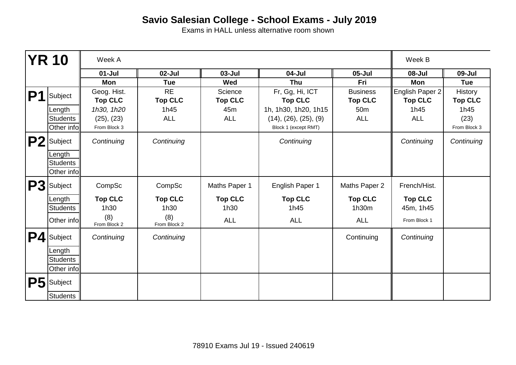|    | <b>YR 10</b>           | Week A                        |                             |                           |                                   |                                   | Week B                            |                                  |
|----|------------------------|-------------------------------|-----------------------------|---------------------------|-----------------------------------|-----------------------------------|-----------------------------------|----------------------------------|
|    |                        | $01 -$ Jul                    | $02$ -Jul                   | $03 - Jul$                | 04-Jul                            | $05 -$ Jul                        | 08-Jul                            | 09-Jul                           |
|    |                        | Mon                           | <b>Tue</b>                  | Wed                       | Thu                               | Fri                               | Mon                               | <b>Tue</b>                       |
| P1 | Subject                | Geog. Hist.<br><b>Top CLC</b> | <b>RE</b><br><b>Top CLC</b> | Science<br><b>Top CLC</b> | Fr, Gg, Hi, ICT<br><b>Top CLC</b> | <b>Business</b><br><b>Top CLC</b> | English Paper 2<br><b>Top CLC</b> | <b>History</b><br><b>Top CLC</b> |
|    | Length                 | 1h30, 1h20                    | 1h45                        | 45 <sub>m</sub>           | 1h, 1h30, 1h20, 1h15              | 50 <sub>m</sub>                   | 1h45                              | 1h45                             |
|    | <b>Students</b>        | (25), (23)                    | <b>ALL</b>                  | <b>ALL</b>                | (14), (26), (25), (9)             | <b>ALL</b>                        | <b>ALL</b>                        | (23)                             |
|    | Other info             | From Block 3                  |                             |                           | Block 1 (except RMT)              |                                   |                                   | From Block 3                     |
|    | P <sub>2</sub> Subject | Continuing                    | Continuing                  |                           | Continuing                        |                                   | Continuing                        | Continuing                       |
|    | Length                 |                               |                             |                           |                                   |                                   |                                   |                                  |
|    | Students               |                               |                             |                           |                                   |                                   |                                   |                                  |
|    | Other info             |                               |                             |                           |                                   |                                   |                                   |                                  |
|    | P <sub>3</sub> Subject | CompSc                        | CompSc                      | Maths Paper 1             | English Paper 1                   | Maths Paper 2                     | French/Hist.                      |                                  |
|    | Length                 | <b>Top CLC</b>                | <b>Top CLC</b>              | <b>Top CLC</b>            | <b>Top CLC</b>                    | <b>Top CLC</b>                    | <b>Top CLC</b>                    |                                  |
|    | <b>Students</b>        | 1h30                          | 1h30                        | 1h30                      | 1h45                              | 1h30m                             | 45m, 1h45                         |                                  |
|    | Other infoll           | (8)<br>From Block 2           | (8)<br>From Block 2         | <b>ALL</b>                | <b>ALL</b>                        | <b>ALL</b>                        | From Block 1                      |                                  |
| P4 | Subject                | Continuing                    | Continuing                  |                           |                                   | Continuing                        | Continuing                        |                                  |
|    | Length                 |                               |                             |                           |                                   |                                   |                                   |                                  |
|    | <b>Students</b>        |                               |                             |                           |                                   |                                   |                                   |                                  |
|    | Other info             |                               |                             |                           |                                   |                                   |                                   |                                  |
|    | P5 Subject             |                               |                             |                           |                                   |                                   |                                   |                                  |
|    | <b>Students</b>        |                               |                             |                           |                                   |                                   |                                   |                                  |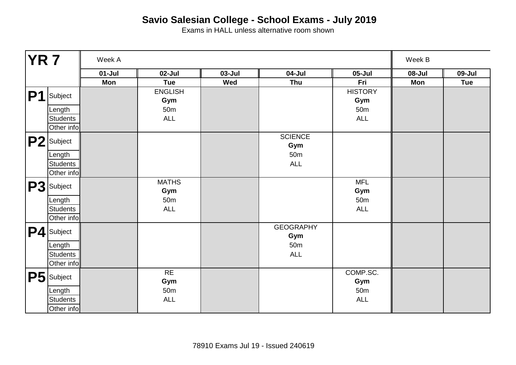| <b>YR 7</b>    |                        | Week A   |                       |            |                         |                       | Week B |            |
|----------------|------------------------|----------|-----------------------|------------|-------------------------|-----------------------|--------|------------|
|                |                        | $01-Jul$ | $02$ -Jul             | $03 - Jul$ | 04-Jul                  | $05 -$ Jul            | 08-Jul | 09-Jul     |
|                |                        | Mon      | <b>Tue</b>            | Wed        | Thu                     | Fri                   | Mon    | <b>Tue</b> |
| P <sub>1</sub> | Subject                |          | <b>ENGLISH</b><br>Gym |            |                         | <b>HISTORY</b><br>Gym |        |            |
|                | Length                 |          | 50m                   |            |                         | 50m                   |        |            |
|                | <b>Students</b>        |          | ALL                   |            |                         | ALL                   |        |            |
|                | Other info             |          |                       |            |                         |                       |        |            |
|                | P <sub>2</sub> Subject |          |                       |            | <b>SCIENCE</b><br>Gym   |                       |        |            |
|                | Length                 |          |                       |            | 50 <sub>m</sub>         |                       |        |            |
|                | <b>Students</b>        |          |                       |            | ALL                     |                       |        |            |
|                | Other info             |          |                       |            |                         |                       |        |            |
|                | P3 Subject             |          | <b>MATHS</b><br>Gym   |            |                         | <b>MFL</b><br>Gym     |        |            |
|                | Length                 |          | 50 <sub>m</sub>       |            |                         | 50 <sub>m</sub>       |        |            |
|                | <b>Students</b>        |          | <b>ALL</b>            |            |                         | ALL                   |        |            |
|                | Other info             |          |                       |            |                         |                       |        |            |
|                | P4 Subject             |          |                       |            | <b>GEOGRAPHY</b><br>Gym |                       |        |            |
|                | Length                 |          |                       |            | 50 <sub>m</sub>         |                       |        |            |
|                | <b>Students</b>        |          |                       |            | ALL                     |                       |        |            |
|                | Other info             |          |                       |            |                         |                       |        |            |
|                | P5 Subject             |          | $\sf RE$<br>Gym       |            |                         | COMP.SC.<br>Gym       |        |            |
|                | Length                 |          | 50 <sub>m</sub>       |            |                         | 50 <sub>m</sub>       |        |            |
|                | <b>Students</b>        |          | <b>ALL</b>            |            |                         | ALL                   |        |            |
|                | Other info             |          |                       |            |                         |                       |        |            |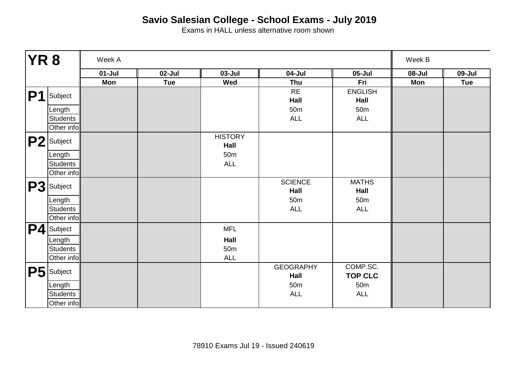| <b>YR8</b> |                        | Week A   |            |                 |                          |                            |        | Week B     |  |
|------------|------------------------|----------|------------|-----------------|--------------------------|----------------------------|--------|------------|--|
|            |                        | $01-Jul$ | 02-Jul     | $03 - Jul$      | 04-Jul                   | $05 -$ Jul                 | 08-Jul | 09-Jul     |  |
|            |                        | Mon      | <b>Tue</b> | Wed             | Thu                      | Fri                        | Mon    | <b>Tue</b> |  |
| <b>P1</b>  | Subject                |          |            |                 | <b>RE</b>                | <b>ENGLISH</b>             |        |            |  |
|            |                        |          |            |                 | Hall                     | Hall                       |        |            |  |
|            | Length                 |          |            |                 | 50 <sub>m</sub>          | 50 <sub>m</sub>            |        |            |  |
|            | <b>Students</b>        |          |            |                 | ALL                      | ALL                        |        |            |  |
|            | Other info             |          |            |                 |                          |                            |        |            |  |
|            | P <sub>2</sub> Subject |          |            | <b>HISTORY</b>  |                          |                            |        |            |  |
|            |                        |          |            | Hall            |                          |                            |        |            |  |
|            | Length                 |          |            | 50 <sub>m</sub> |                          |                            |        |            |  |
|            | <b>Students</b>        |          |            | <b>ALL</b>      |                          |                            |        |            |  |
|            | Other info             |          |            |                 |                          |                            |        |            |  |
|            | P3 Subject             |          |            |                 | <b>SCIENCE</b>           | <b>MATHS</b>               |        |            |  |
|            |                        |          |            |                 | Hall                     | Hall                       |        |            |  |
|            | Length                 |          |            |                 | 50 <sub>m</sub>          | 50 <sub>m</sub>            |        |            |  |
|            | <b>Students</b>        |          |            |                 | <b>ALL</b>               | <b>ALL</b>                 |        |            |  |
|            | Other info             |          |            |                 |                          |                            |        |            |  |
|            | P4 Subject             |          |            | <b>MFL</b>      |                          |                            |        |            |  |
|            | Length                 |          |            | Hall            |                          |                            |        |            |  |
|            | <b>Students</b>        |          |            | 50 <sub>m</sub> |                          |                            |        |            |  |
|            | Other info             |          |            | <b>ALL</b>      |                          |                            |        |            |  |
|            | P5 Subject             |          |            |                 | <b>GEOGRAPHY</b><br>Hall | COMP.SC.<br><b>TOP CLC</b> |        |            |  |
|            | Length                 |          |            |                 | 50 <sub>m</sub>          | 50 <sub>m</sub>            |        |            |  |
|            | <b>Students</b>        |          |            |                 | ALL                      | $\mathsf{ALL}$             |        |            |  |
|            | Other info             |          |            |                 |                          |                            |        |            |  |